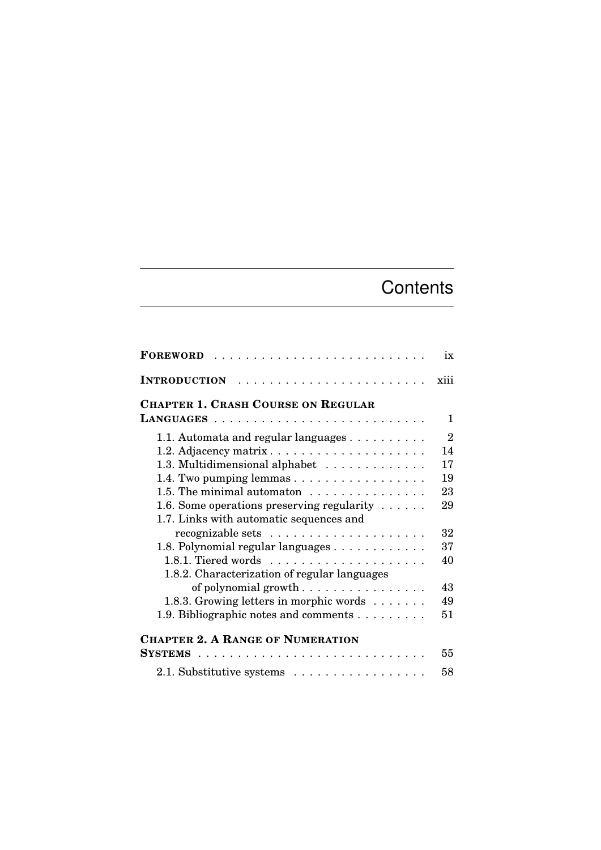## **Contents**

| FOREWORD                                                   | ix             |
|------------------------------------------------------------|----------------|
| <b>INTRODUCTION</b>                                        | xiii           |
| <b>CHAPTER 1. CRASH COURSE ON REGULAR</b>                  |                |
| LANGUAGES<br>.                                             | 1              |
| 1.1. Automata and regular languages $\dots \dots \dots$    | $\overline{2}$ |
| 1.2. Adjacency matrix                                      | 14             |
| 1.3. Multidimensional alphabet                             | 17             |
| 1.4. Two pumping lemmas                                    | 19             |
| 1.5. The minimal automaton $\dots \dots \dots \dots \dots$ | 23             |
| 1.6. Some operations preserving regularity $\dots$ .       | 29             |
| 1.7. Links with automatic sequences and                    |                |
|                                                            | 32             |
| 1.8. Polynomial regular languages                          | 37             |
|                                                            | 40             |
| 1.8.2. Characterization of regular languages               |                |
| of polynomial growth                                       | 43             |
| 1.8.3. Growing letters in morphic words                    | 49             |
| 1.9. Bibliographic notes and comments                      | 51             |
| <b>CHAPTER 2. A RANGE OF NUMERATION</b>                    |                |
| <b>SYSTEMS</b><br>.                                        | 55             |
| 2.1. Substitutive systems                                  | 58             |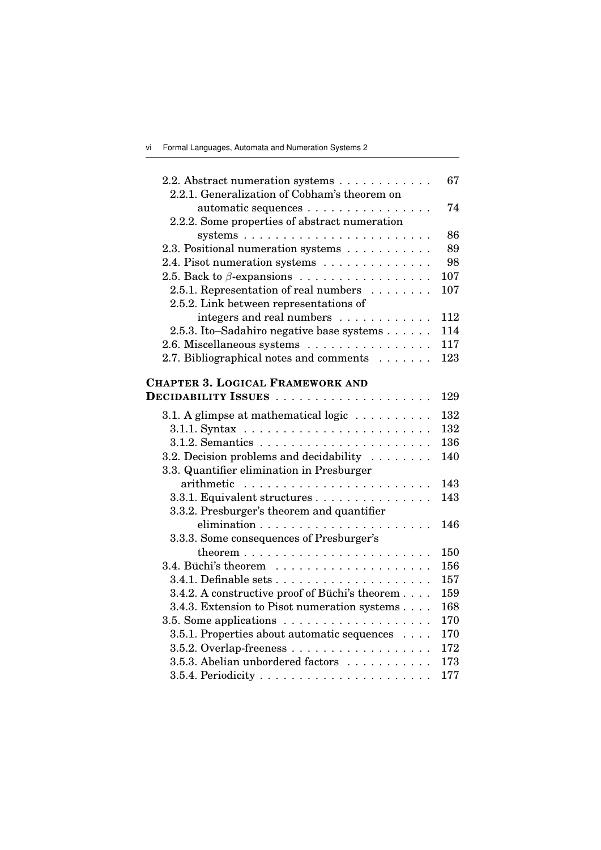| 2.2. Abstract numeration systems                                   | 67  |
|--------------------------------------------------------------------|-----|
| 2.2.1. Generalization of Cobham's theorem on                       |     |
| automatic sequences                                                | 74  |
| 2.2.2. Some properties of abstract numeration                      |     |
| systems $\ldots \ldots \ldots \ldots \ldots \ldots \ldots \ldots$  | 86  |
| 2.3. Positional numeration systems                                 | 89  |
| 2.4. Pisot numeration systems                                      | 98  |
| 2.5. Back to $\beta$ -expansions                                   | 107 |
| 2.5.1. Representation of real numbers                              | 107 |
| 2.5.2. Link between representations of                             |     |
| integers and real numbers                                          | 112 |
| 2.5.3. Ito-Sadahiro negative base systems                          | 114 |
| 2.6. Miscellaneous systems                                         | 117 |
| 2.7. Bibliographical notes and comments                            | 123 |
| <b>CHAPTER 3. LOGICAL FRAMEWORK AND</b>                            |     |
|                                                                    | 129 |
|                                                                    |     |
| 3.1. A glimpse at mathematical logic $\dots \dots \dots$           | 132 |
|                                                                    | 132 |
|                                                                    | 136 |
| 3.2. Decision problems and decidability                            | 140 |
| 3.3. Quantifier elimination in Presburger                          |     |
|                                                                    | 143 |
| 3.3.1. Equivalent structures                                       | 143 |
| 3.3.2. Presburger's theorem and quantifier                         |     |
|                                                                    | 146 |
| 3.3.3. Some consequences of Presburger's                           |     |
|                                                                    | 150 |
|                                                                    | 156 |
|                                                                    | 157 |
| 3.4.2. A constructive proof of Büchi's theorem                     | 159 |
| 3.4.3. Extension to Pisot numeration systems                       | 168 |
| 3.5. Some applications $\ldots \ldots \ldots \ldots \ldots \ldots$ | 170 |
| 3.5.1. Properties about automatic sequences                        | 170 |
| 3.5.2. Overlap-freeness                                            | 172 |
| 3.5.3. Abelian unbordered factors                                  | 173 |
|                                                                    | 177 |